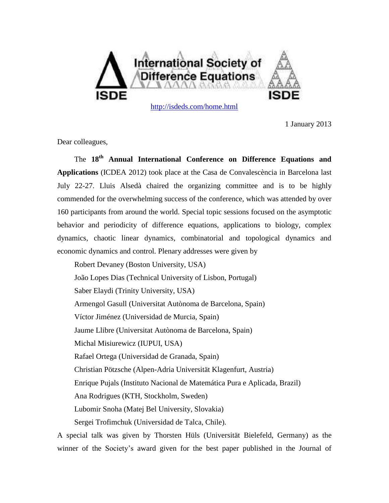

1 January 2013

Dear colleagues,

The **18 th Annual International Conference on Difference Equations and Applications** (ICDEA 2012) took place at the Casa de Convalescència in Barcelona last July 22-27. Lluis Alsedà chaired the organizing committee and is to be highly commended for the overwhelming success of the conference, which was attended by over 160 participants from around the world. Special topic sessions focused on the asymptotic behavior and periodicity of difference equations, applications to biology, complex dynamics, chaotic linear dynamics, combinatorial and topological dynamics and economic dynamics and control. Plenary addresses were given by

Robert Devaney (Boston University, USA) João Lopes Dias (Technical University of Lisbon, Portugal) Saber Elaydi (Trinity University, USA) Armengol Gasull (Universitat Autònoma de Barcelona, Spain) Víctor Jiménez (Universidad de Murcia, Spain) Jaume Llibre (Universitat Autònoma de Barcelona, Spain) Michal Misiurewicz (IUPUI, USA) Rafael Ortega (Universidad de Granada, Spain) Christian Pötzsche (Alpen-Adria Universität Klagenfurt, Austria) Enrique Pujals (Instituto Nacional de Matemática Pura e Aplicada, Brazil) Ana Rodrigues (KTH, Stockholm, Sweden) Lubomir Snoha (Matej Bel University, Slovakia) Sergei Trofimchuk (Universidad de Talca, Chile).

A special talk was given by Thorsten Hüls (Universität Bielefeld, Germany) as the winner of the Society's award given for the best paper published in the Journal of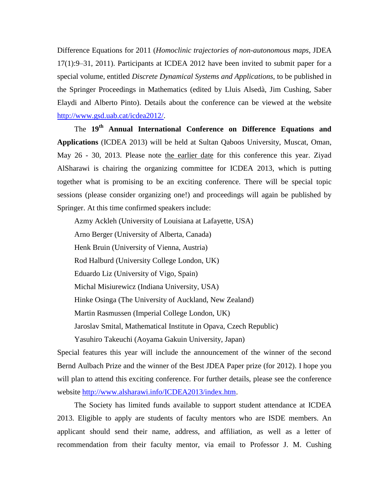Difference Equations for 2011 (*Homoclinic trajectories of non-autonomous maps*, JDEA 17(1):9–31, 2011). Participants at ICDEA 2012 have been invited to submit paper for a special volume, entitled *Discrete Dynamical Systems and Applications*, to be published in the Springer Proceedings in Mathematics (edited by Lluis Alsedà, Jim Cushing, Saber Elaydi and Alberto Pinto). Details about the conference can be viewed at the website [http://www.gsd.uab.cat/icdea2012/.](http://www.gsd.uab.cat/icdea2012/)

The **19th Annual International Conference on Difference Equations and Applications** (ICDEA 2013) will be held at Sultan Qaboos University, Muscat, Oman, May 26 - 30, 2013. Please note the earlier date for this conference this year. Ziyad AlSharawi is chairing the organizing committee for ICDEA 2013, which is putting together what is promising to be an exciting conference. There will be special topic sessions (please consider organizing one!) and proceedings will again be published by Springer. At this time confirmed speakers include:

Azmy Ackleh (University of Louisiana at Lafayette, USA) Arno Berger (University of Alberta, Canada) Henk Bruin (University of Vienna, Austria) Rod Halburd (University College London, UK) Eduardo Liz (University of Vigo, Spain) Michal Misiurewicz (Indiana University, USA) Hinke Osinga (The University of Auckland, New Zealand) Martin Rasmussen (Imperial College London, UK) Jaroslav Smital, Mathematical Institute in Opava, Czech Republic)

Yasuhiro Takeuchi (Aoyama Gakuin University, Japan)

Special features this year will include the announcement of the winner of the second Bernd Aulbach Prize and the winner of the Best JDEA Paper prize (for 2012). I hope you will plan to attend this exciting conference. For further details, please see the conference website http://www.alsharawi.info/ICDEA2013/index.htm.

The Society has limited funds available to support student attendance at ICDEA 2013. Eligible to apply are students of faculty mentors who are ISDE members. An applicant should send their name, address, and affiliation, as well as a letter of recommendation from their faculty mentor, via email to Professor J. M. Cushing